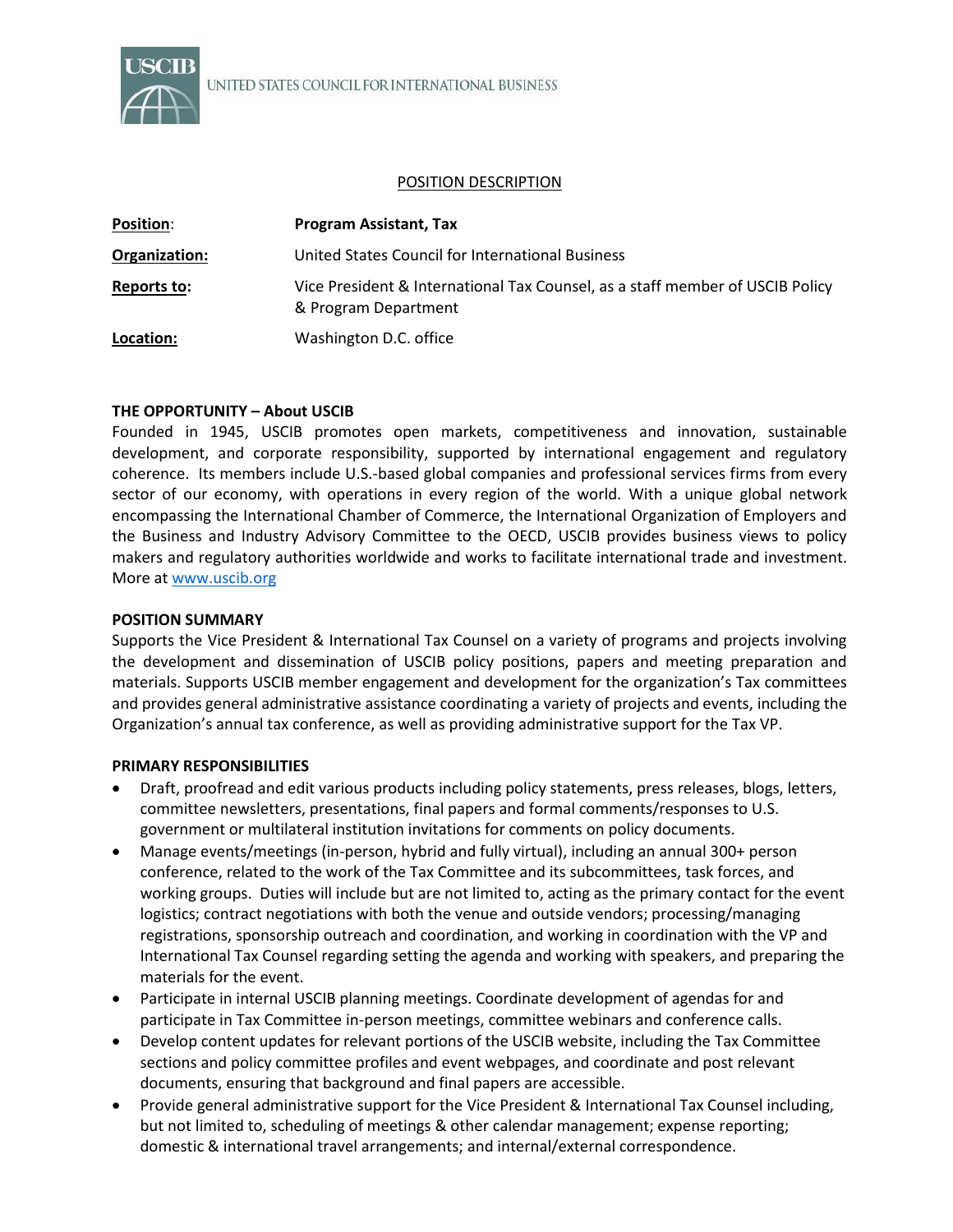

### POSITION DESCRIPTION

| <b>Position:</b> | <b>Program Assistant, Tax</b>                                                                         |
|------------------|-------------------------------------------------------------------------------------------------------|
| Organization:    | United States Council for International Business                                                      |
| Reports to:      | Vice President & International Tax Counsel, as a staff member of USCIB Policy<br>& Program Department |
| Location:        | Washington D.C. office                                                                                |

# **THE OPPORTUNITY – About USCIB**

Founded in 1945, USCIB promotes open markets, competitiveness and innovation, sustainable development, and corporate responsibility, supported by international engagement and regulatory coherence. Its members include U.S.-based global companies and professional services firms from every sector of our economy, with operations in every region of the world. With a unique global network encompassing the International Chamber of Commerce, the International Organization of Employers and the Business and Industry Advisory Committee to the OECD, USCIB provides business views to policy makers and regulatory authorities worldwide and works to facilitate international trade and investment. More a[t www.uscib.org](http://www.uscib.org/)

# **POSITION SUMMARY**

Supports the Vice President & International Tax Counsel on a variety of programs and projects involving the development and dissemination of USCIB policy positions, papers and meeting preparation and materials. Supports USCIB member engagement and development for the organization's Tax committees and provides general administrative assistance coordinating a variety of projects and events, including the Organization's annual tax conference, as well as providing administrative support for the Tax VP.

# **PRIMARY RESPONSIBILITIES**

- Draft, proofread and edit various products including policy statements, press releases, blogs, letters, committee newsletters, presentations, final papers and formal comments/responses to U.S. government or multilateral institution invitations for comments on policy documents.
- Manage events/meetings (in-person, hybrid and fully virtual), including an annual 300+ person conference, related to the work of the Tax Committee and its subcommittees, task forces, and working groups. Duties will include but are not limited to, acting as the primary contact for the event logistics; contract negotiations with both the venue and outside vendors; processing/managing registrations, sponsorship outreach and coordination, and working in coordination with the VP and International Tax Counsel regarding setting the agenda and working with speakers, and preparing the materials for the event.
- Participate in internal USCIB planning meetings. Coordinate development of agendas for and participate in Tax Committee in-person meetings, committee webinars and conference calls.
- Develop content updates for relevant portions of the USCIB website, including the Tax Committee sections and policy committee profiles and event webpages, and coordinate and post relevant documents, ensuring that background and final papers are accessible.
- Provide general administrative support for the Vice President & International Tax Counsel including, but not limited to, scheduling of meetings & other calendar management; expense reporting; domestic & international travel arrangements; and internal/external correspondence.